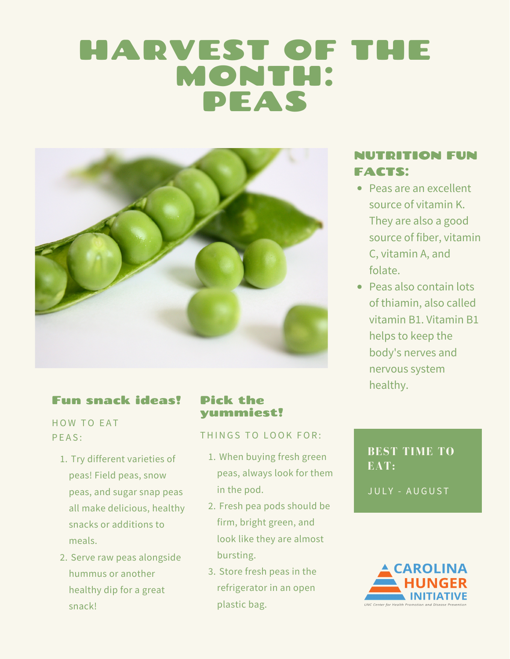# HARVEST OF THE MONTH: PEAS



## Fun snack ideas!

HOW TO EAT PEAS:

- 1. Try different varieties of peas! Field peas, snow peas, and sugar snap peas all make delicious, healthy snacks or additions to meals.
- 2. Serve raw peas alongside hummus or another healthy dip for a great snack!

#### Pick the yummiest!

#### THINGS TO LOOK FOR:

- When buying fresh green 1. peas, always look for them in the pod.
- 2. Fresh pea pods should be firm, bright green, and look like they are almost bursting.
- Store fresh peas in the 3.refrigerator in an open plastic bag.

## NUTRITION FUN FACTS:

- Peas are an excellent source of vitamin K. They are also a good source of fiber, vitamin C, vitamin A, and folate.
- Peas also contain lots of thiamin, also called vitamin B1. Vitamin B1 helps to keep the body's nerves and nervous system healthy.

## **BEST TIME TO EAT:**

JULY - AUGUST